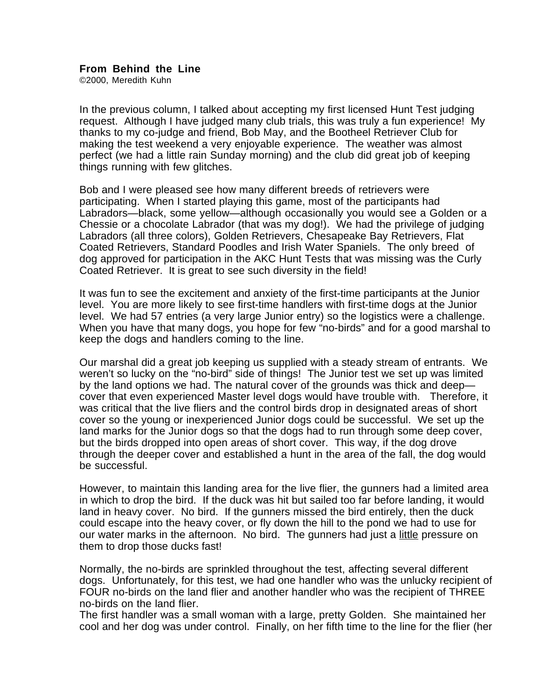## **From Behind the Line**

©2000, Meredith Kuhn

In the previous column, I talked about accepting my first licensed Hunt Test judging request. Although I have judged many club trials, this was truly a fun experience! My thanks to my co-judge and friend, Bob May, and the Bootheel Retriever Club for making the test weekend a very enjoyable experience. The weather was almost perfect (we had a little rain Sunday morning) and the club did great job of keeping things running with few glitches.

Bob and I were pleased see how many different breeds of retrievers were participating. When I started playing this game, most of the participants had Labradors—black, some yellow—although occasionally you would see a Golden or a Chessie or a chocolate Labrador (that was my dog!). We had the privilege of judging Labradors (all three colors), Golden Retrievers, Chesapeake Bay Retrievers, Flat Coated Retrievers, Standard Poodles and Irish Water Spaniels. The only breed of dog approved for participation in the AKC Hunt Tests that was missing was the Curly Coated Retriever. It is great to see such diversity in the field!

It was fun to see the excitement and anxiety of the first-time participants at the Junior level. You are more likely to see first-time handlers with first-time dogs at the Junior level. We had 57 entries (a very large Junior entry) so the logistics were a challenge. When you have that many dogs, you hope for few "no-birds" and for a good marshal to keep the dogs and handlers coming to the line.

Our marshal did a great job keeping us supplied with a steady stream of entrants. We weren't so lucky on the "no-bird" side of things! The Junior test we set up was limited by the land options we had. The natural cover of the grounds was thick and deep cover that even experienced Master level dogs would have trouble with. Therefore, it was critical that the live fliers and the control birds drop in designated areas of short cover so the young or inexperienced Junior dogs could be successful. We set up the land marks for the Junior dogs so that the dogs had to run through some deep cover, but the birds dropped into open areas of short cover. This way, if the dog drove through the deeper cover and established a hunt in the area of the fall, the dog would be successful.

However, to maintain this landing area for the live flier, the gunners had a limited area in which to drop the bird. If the duck was hit but sailed too far before landing, it would land in heavy cover. No bird. If the gunners missed the bird entirely, then the duck could escape into the heavy cover, or fly down the hill to the pond we had to use for our water marks in the afternoon. No bird. The gunners had just a little pressure on them to drop those ducks fast!

Normally, the no-birds are sprinkled throughout the test, affecting several different dogs. Unfortunately, for this test, we had one handler who was the unlucky recipient of FOUR no-birds on the land flier and another handler who was the recipient of THREE no-birds on the land flier.

The first handler was a small woman with a large, pretty Golden. She maintained her cool and her dog was under control. Finally, on her fifth time to the line for the flier (her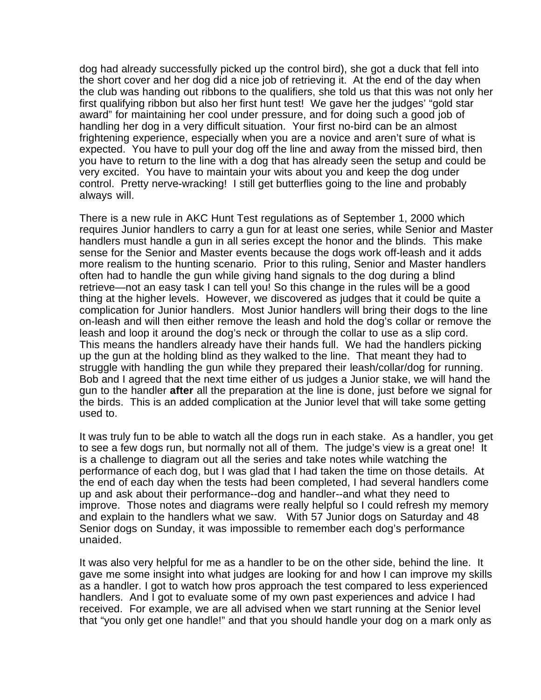dog had already successfully picked up the control bird), she got a duck that fell into the short cover and her dog did a nice job of retrieving it. At the end of the day when the club was handing out ribbons to the qualifiers, she told us that this was not only her first qualifying ribbon but also her first hunt test! We gave her the judges' "gold star award" for maintaining her cool under pressure, and for doing such a good job of handling her dog in a very difficult situation. Your first no-bird can be an almost frightening experience, especially when you are a novice and aren't sure of what is expected. You have to pull your dog off the line and away from the missed bird, then you have to return to the line with a dog that has already seen the setup and could be very excited. You have to maintain your wits about you and keep the dog under control. Pretty nerve-wracking! I still get butterflies going to the line and probably always will.

There is a new rule in AKC Hunt Test regulations as of September 1, 2000 which requires Junior handlers to carry a gun for at least one series, while Senior and Master handlers must handle a gun in all series except the honor and the blinds. This make sense for the Senior and Master events because the dogs work off-leash and it adds more realism to the hunting scenario. Prior to this ruling, Senior and Master handlers often had to handle the gun while giving hand signals to the dog during a blind retrieve—not an easy task I can tell you! So this change in the rules will be a good thing at the higher levels. However, we discovered as judges that it could be quite a complication for Junior handlers. Most Junior handlers will bring their dogs to the line on-leash and will then either remove the leash and hold the dog's collar or remove the leash and loop it around the dog's neck or through the collar to use as a slip cord. This means the handlers already have their hands full. We had the handlers picking up the gun at the holding blind as they walked to the line. That meant they had to struggle with handling the gun while they prepared their leash/collar/dog for running. Bob and I agreed that the next time either of us judges a Junior stake, we will hand the gun to the handler **after** all the preparation at the line is done, just before we signal for the birds. This is an added complication at the Junior level that will take some getting used to.

It was truly fun to be able to watch all the dogs run in each stake. As a handler, you get to see a few dogs run, but normally not all of them. The judge's view is a great one! It is a challenge to diagram out all the series and take notes while watching the performance of each dog, but I was glad that I had taken the time on those details. At the end of each day when the tests had been completed, I had several handlers come up and ask about their performance--dog and handler--and what they need to improve. Those notes and diagrams were really helpful so I could refresh my memory and explain to the handlers what we saw. With 57 Junior dogs on Saturday and 48 Senior dogs on Sunday, it was impossible to remember each dog's performance unaided.

It was also very helpful for me as a handler to be on the other side, behind the line. It gave me some insight into what judges are looking for and how I can improve my skills as a handler. I got to watch how pros approach the test compared to less experienced handlers. And I got to evaluate some of my own past experiences and advice I had received. For example, we are all advised when we start running at the Senior level that "you only get one handle!" and that you should handle your dog on a mark only as